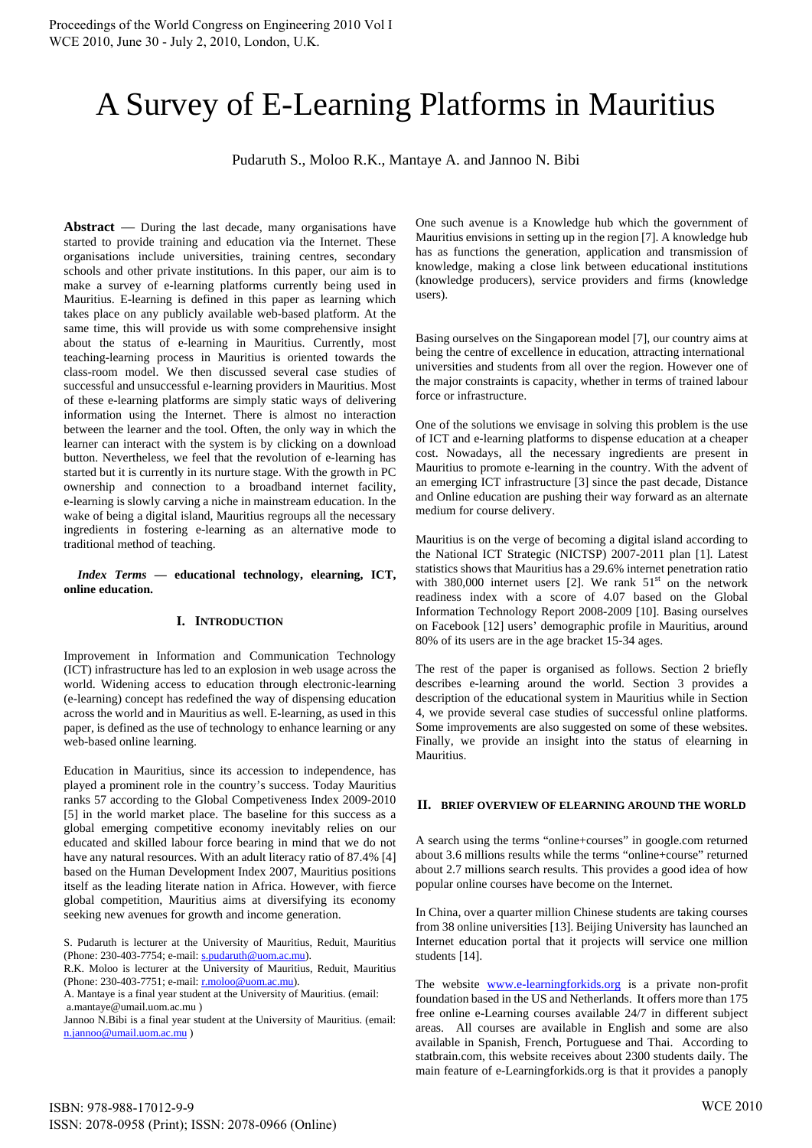# A Survey of E-Learning Platforms in Mauritius

Pudaruth S., Moloo R.K., Mantaye A. and Jannoo N. Bibi

Abstract — During the last decade, many organisations have started to provide training and education via the Internet. These organisations include universities, training centres, secondary schools and other private institutions. In this paper, our aim is to make a survey of e-learning platforms currently being used in Mauritius. E-learning is defined in this paper as learning which takes place on any publicly available web-based platform. At the same time, this will provide us with some comprehensive insight about the status of e-learning in Mauritius. Currently, most teaching-learning process in Mauritius is oriented towards the class-room model. We then discussed several case studies of successful and unsuccessful e-learning providers in Mauritius. Most of these e-learning platforms are simply static ways of delivering information using the Internet. There is almost no interaction between the learner and the tool. Often, the only way in which the learner can interact with the system is by clicking on a download button. Nevertheless, we feel that the revolution of e-learning has started but it is currently in its nurture stage. With the growth in PC ownership and connection to a broadband internet facility, e-learning is slowly carving a niche in mainstream education. In the wake of being a digital island, Mauritius regroups all the necessary ingredients in fostering e-learning as an alternative mode to traditional method of teaching.

#### *Index Terms* **— educational technology, elearning, ICT, online education.**

# **I. INTRODUCTION**

Improvement in Information and Communication Technology (ICT) infrastructure has led to an explosion in web usage across the world. Widening access to education through electronic-learning (e-learning) concept has redefined the way of dispensing education across the world and in Mauritius as well. E-learning, as used in this paper, is defined as the use of technology to enhance learning or any web-based online learning.

Education in Mauritius, since its accession to independence, has played a prominent role in the country's success. Today Mauritius ranks 57 according to the Global Competiveness Index 2009-2010 [5] in the world market place. The baseline for this success as a global emerging competitive economy inevitably relies on our educated and skilled labour force bearing in mind that we do not have any natural resources. With an adult literacy ratio of 87.4% [4] based on the Human Development Index 2007, Mauritius positions itself as the leading literate nation in Africa. However, with fierce global competition, Mauritius aims at diversifying its economy seeking new avenues for growth and income generation.

Jannoo N.Bibi is a final year student at the University of Mauritius. (email: n.jannoo@umail.uom.ac.mu )

One such avenue is a Knowledge hub which the government of Mauritius envisions in setting up in the region [7]. A knowledge hub has as functions the generation, application and transmission of knowledge, making a close link between educational institutions (knowledge producers), service providers and firms (knowledge users).

Basing ourselves on the Singaporean model [7], our country aims at being the centre of excellence in education, attracting international universities and students from all over the region. However one of the major constraints is capacity, whether in terms of trained labour force or infrastructure.

One of the solutions we envisage in solving this problem is the use of ICT and e-learning platforms to dispense education at a cheaper cost. Nowadays, all the necessary ingredients are present in Mauritius to promote e-learning in the country. With the advent of an emerging ICT infrastructure [3] since the past decade, Distance and Online education are pushing their way forward as an alternate medium for course delivery.

Mauritius is on the verge of becoming a digital island according to the National ICT Strategic (NICTSP) 2007-2011 plan [1]. Latest statistics shows that Mauritius has a 29.6% internet penetration ratio with 380,000 internet users [2]. We rank  $51<sup>st</sup>$  on the network readiness index with a score of 4.07 based on the Global Information Technology Report 2008-2009 [10]. Basing ourselves on Facebook [12] users' demographic profile in Mauritius, around 80% of its users are in the age bracket 15-34 ages.

The rest of the paper is organised as follows. Section 2 briefly describes e-learning around the world. Section 3 provides a description of the educational system in Mauritius while in Section 4, we provide several case studies of successful online platforms. Some improvements are also suggested on some of these websites. Finally, we provide an insight into the status of elearning in Mauritius.

## **II. BRIEF OVERVIEW OF ELEARNING AROUND THE WORLD**

A search using the terms "online+courses" in google.com returned about 3.6 millions results while the terms "online+course" returned about 2.7 millions search results. This provides a good idea of how popular online courses have become on the Internet.

In China, over a quarter million Chinese students are taking courses from 38 online universities [13]. Beijing University has launched an Internet education portal that it projects will service one million students [14].

The website www.e-learningforkids.org is a private non-profit foundation based in the US and Netherlands. It offers more than 175 free online e-Learning courses available 24/7 in different subject areas. All courses are available in English and some are also available in Spanish, French, Portuguese and Thai. According to statbrain.com, this website receives about 2300 students daily. The main feature of e-Learningforkids.org is that it provides a panoply

S. Pudaruth is lecturer at the University of Mauritius, Reduit, Mauritius (Phone: 230-403-7754; e-mail: s.pudaruth@uom.ac.mu).

R.K. Moloo is lecturer at the University of Mauritius, Reduit, Mauritius (Phone: 230-403-7751; e-mail: r.moloo@uom.ac.mu).

A. Mantaye is a final year student at the University of Mauritius. (email: a.mantaye@umail.uom.ac.mu )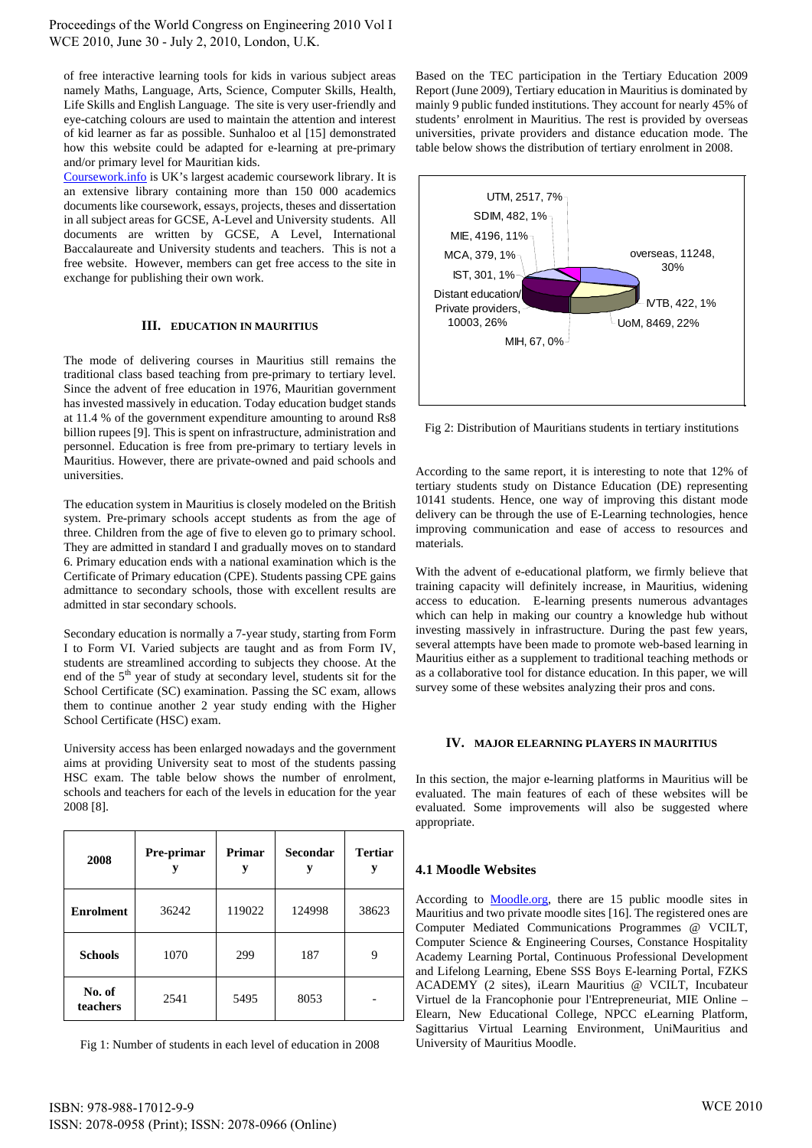of free interactive learning tools for kids in various subject areas namely Maths, Language, Arts, Science, Computer Skills, Health, Life Skills and English Language. The site is very user-friendly and eye-catching colours are used to maintain the attention and interest of kid learner as far as possible. Sunhaloo et al [15] demonstrated how this website could be adapted for e-learning at pre-primary and/or primary level for Mauritian kids.

Coursework.info is UK's largest academic coursework library. It is an extensive library containing more than 150 000 academics documents like coursework, essays, projects, theses and dissertation in all subject areas for GCSE, A-Level and University students. All documents are written by GCSE, A Level, International Baccalaureate and University students and teachers. This is not a free website. However, members can get free access to the site in exchange for publishing their own work.

## **III. EDUCATION IN MAURITIUS**

The mode of delivering courses in Mauritius still remains the traditional class based teaching from pre-primary to tertiary level. Since the advent of free education in 1976, Mauritian government has invested massively in education. Today education budget stands at 11.4 % of the government expenditure amounting to around Rs8 billion rupees [9]. This is spent on infrastructure, administration and personnel. Education is free from pre-primary to tertiary levels in Mauritius. However, there are private-owned and paid schools and universities.

The education system in Mauritius is closely modeled on the British system. Pre-primary schools accept students as from the age of three. Children from the age of five to eleven go to primary school. They are admitted in standard I and gradually moves on to standard 6. Primary education ends with a national examination which is the Certificate of Primary education (CPE). Students passing CPE gains admittance to secondary schools, those with excellent results are admitted in star secondary schools.

Secondary education is normally a 7-year study, starting from Form I to Form VI. Varied subjects are taught and as from Form IV, students are streamlined according to subjects they choose. At the end of the 5<sup>th</sup> year of study at secondary level, students sit for the School Certificate (SC) examination. Passing the SC exam, allows them to continue another 2 year study ending with the Higher School Certificate (HSC) exam.

University access has been enlarged nowadays and the government aims at providing University seat to most of the students passing HSC exam. The table below shows the number of enrolment, schools and teachers for each of the levels in education for the year 2008 [8].

| 2008               | Pre-primar | Primar<br>у | Secondar<br>у | <b>Tertiar</b><br>у |
|--------------------|------------|-------------|---------------|---------------------|
| <b>Enrolment</b>   | 36242      | 119022      | 124998        | 38623               |
| <b>Schools</b>     | 1070       | 299         | 187           | 9                   |
| No. of<br>teachers | 2541       | 5495        | 8053          |                     |

Fig 1: Number of students in each level of education in 2008

Based on the TEC participation in the Tertiary Education 2009 Report (June 2009), Tertiary education in Mauritius is dominated by mainly 9 public funded institutions. They account for nearly 45% of students' enrolment in Mauritius. The rest is provided by overseas universities, private providers and distance education mode. The table below shows the distribution of tertiary enrolment in 2008.



Fig 2: Distribution of Mauritians students in tertiary institutions

According to the same report, it is interesting to note that 12% of tertiary students study on Distance Education (DE) representing 10141 students. Hence, one way of improving this distant mode delivery can be through the use of E-Learning technologies, hence improving communication and ease of access to resources and materials.

With the advent of e-educational platform, we firmly believe that training capacity will definitely increase, in Mauritius, widening access to education. E-learning presents numerous advantages which can help in making our country a knowledge hub without investing massively in infrastructure. During the past few years, several attempts have been made to promote web-based learning in Mauritius either as a supplement to traditional teaching methods or as a collaborative tool for distance education. In this paper, we will survey some of these websites analyzing their pros and cons.

## **IV. MAJOR ELEARNING PLAYERS IN MAURITIUS**

In this section, the major e-learning platforms in Mauritius will be evaluated. The main features of each of these websites will be evaluated. Some improvements will also be suggested where appropriate.

## **4.1 Moodle Websites**

According to Moodle.org, there are 15 public moodle sites in Mauritius and two private moodle sites [16]. The registered ones are Computer Mediated Communications Programmes @ VCILT, Computer Science & Engineering Courses, Constance Hospitality Academy Learning Portal, Continuous Professional Development and Lifelong Learning, Ebene SSS Boys E-learning Portal, FZKS ACADEMY (2 sites), iLearn Mauritius @ VCILT, Incubateur Virtuel de la Francophonie pour l'Entrepreneuriat, MIE Online – Elearn, New Educational College, NPCC eLearning Platform, Sagittarius Virtual Learning Environment, UniMauritius and University of Mauritius Moodle.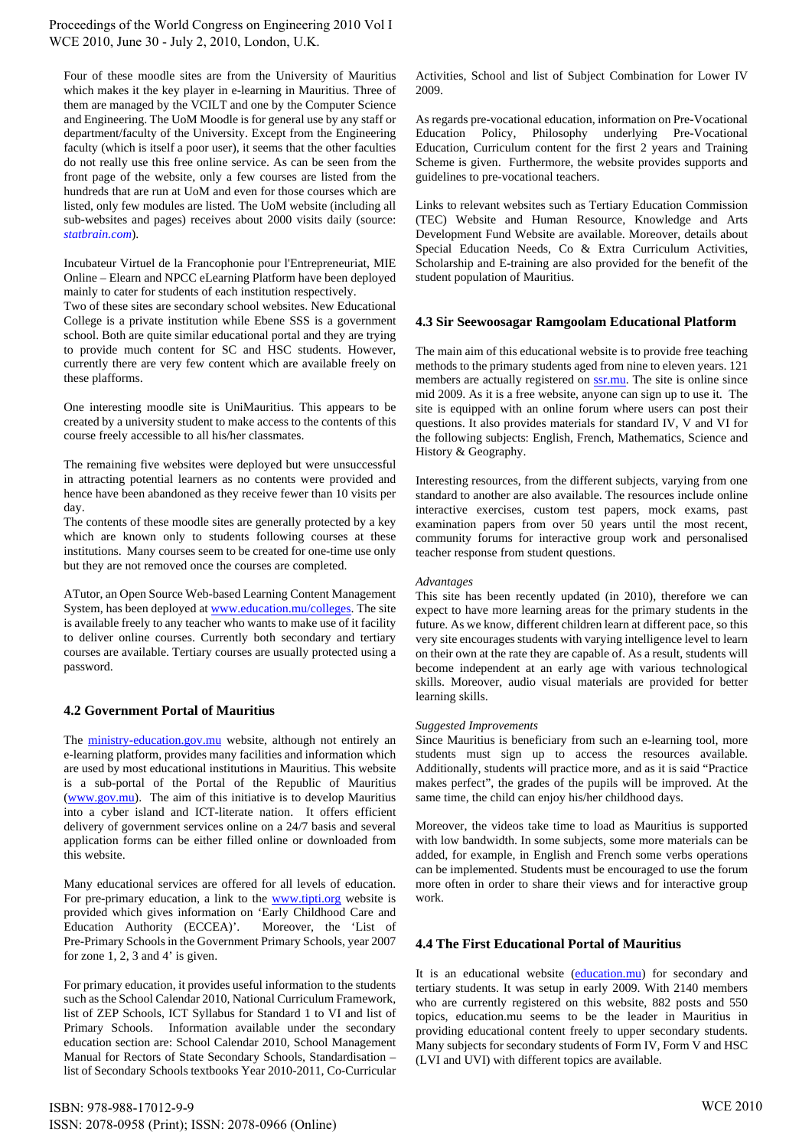Four of these moodle sites are from the University of Mauritius which makes it the key player in e-learning in Mauritius. Three of them are managed by the VCILT and one by the Computer Science and Engineering. The UoM Moodle is for general use by any staff or department/faculty of the University. Except from the Engineering faculty (which is itself a poor user), it seems that the other faculties do not really use this free online service. As can be seen from the front page of the website, only a few courses are listed from the hundreds that are run at UoM and even for those courses which are listed, only few modules are listed. The UoM website (including all sub-websites and pages) receives about 2000 visits daily (source: *statbrain.com*).

Incubateur Virtuel de la Francophonie pour l'Entrepreneuriat, MIE Online – Elearn and NPCC eLearning Platform have been deployed mainly to cater for students of each institution respectively.

Two of these sites are secondary school websites. New Educational College is a private institution while Ebene SSS is a government school. Both are quite similar educational portal and they are trying to provide much content for SC and HSC students. However, currently there are very few content which are available freely on these plafforms.

One interesting moodle site is UniMauritius. This appears to be created by a university student to make access to the contents of this course freely accessible to all his/her classmates.

The remaining five websites were deployed but were unsuccessful in attracting potential learners as no contents were provided and hence have been abandoned as they receive fewer than 10 visits per day.

The contents of these moodle sites are generally protected by a key which are known only to students following courses at these institutions. Many courses seem to be created for one-time use only but they are not removed once the courses are completed.

ATutor, an Open Source Web-based Learning Content Management System, has been deployed at www.education.mu/colleges. The site is available freely to any teacher who wants to make use of it facility to deliver online courses. Currently both secondary and tertiary courses are available. Tertiary courses are usually protected using a password.

# **4.2 Government Portal of Mauritius**

The ministry-education.gov.mu website, although not entirely an e-learning platform, provides many facilities and information which are used by most educational institutions in Mauritius. This website is a sub-portal of the Portal of the Republic of Mauritius (www.gov.mu). The aim of this initiative is to develop Mauritius into a cyber island and ICT-literate nation. It offers efficient delivery of government services online on a 24/7 basis and several application forms can be either filled online or downloaded from this website.

Many educational services are offered for all levels of education. For pre-primary education, a link to the www.tipti.org website is provided which gives information on 'Early Childhood Care and Education Authority (ECCEA)'. Moreover, the 'List of Pre-Primary Schools in the Government Primary Schools, year 2007 for zone 1, 2, 3 and 4' is given.

For primary education, it provides useful information to the students such as the School Calendar 2010, National Curriculum Framework, list of ZEP Schools, ICT Syllabus for Standard 1 to VI and list of Primary Schools. Information available under the secondary education section are: School Calendar 2010, School Management Manual for Rectors of State Secondary Schools, Standardisation – list of Secondary Schools textbooks Year 2010-2011, Co-Curricular

Activities, School and list of Subject Combination for Lower IV 2009.

As regards pre-vocational education, information on Pre-Vocational Education Policy, Philosophy underlying Pre-Vocational Education, Curriculum content for the first 2 years and Training Scheme is given. Furthermore, the website provides supports and guidelines to pre-vocational teachers.

Links to relevant websites such as Tertiary Education Commission (TEC) Website and Human Resource, Knowledge and Arts Development Fund Website are available. Moreover, details about Special Education Needs, Co & Extra Curriculum Activities, Scholarship and E-training are also provided for the benefit of the student population of Mauritius.

# **4.3 Sir Seewoosagar Ramgoolam Educational Platform**

The main aim of this educational website is to provide free teaching methods to the primary students aged from nine to eleven years. 121 members are actually registered on **ssr.mu**. The site is online since mid 2009. As it is a free website, anyone can sign up to use it. The site is equipped with an online forum where users can post their questions. It also provides materials for standard IV, V and VI for the following subjects: English, French, Mathematics, Science and History & Geography.

Interesting resources, from the different subjects, varying from one standard to another are also available. The resources include online interactive exercises, custom test papers, mock exams, past examination papers from over 50 years until the most recent, community forums for interactive group work and personalised teacher response from student questions.

## *Advantages*

This site has been recently updated (in 2010), therefore we can expect to have more learning areas for the primary students in the future. As we know, different children learn at different pace, so this very site encourages students with varying intelligence level to learn on their own at the rate they are capable of. As a result, students will become independent at an early age with various technological skills. Moreover, audio visual materials are provided for better learning skills.

## *Suggested Improvements*

Since Mauritius is beneficiary from such an e-learning tool, more students must sign up to access the resources available. Additionally, students will practice more, and as it is said "Practice makes perfect", the grades of the pupils will be improved. At the same time, the child can enjoy his/her childhood days.

Moreover, the videos take time to load as Mauritius is supported with low bandwidth. In some subjects, some more materials can be added, for example, in English and French some verbs operations can be implemented. Students must be encouraged to use the forum more often in order to share their views and for interactive group work.

# **4.4 The First Educational Portal of Mauritius**

It is an educational website (education.mu) for secondary and tertiary students. It was setup in early 2009. With 2140 members who are currently registered on this website, 882 posts and 550 topics, education.mu seems to be the leader in Mauritius in providing educational content freely to upper secondary students. Many subjects for secondary students of Form IV, Form V and HSC (LVI and UVI) with different topics are available.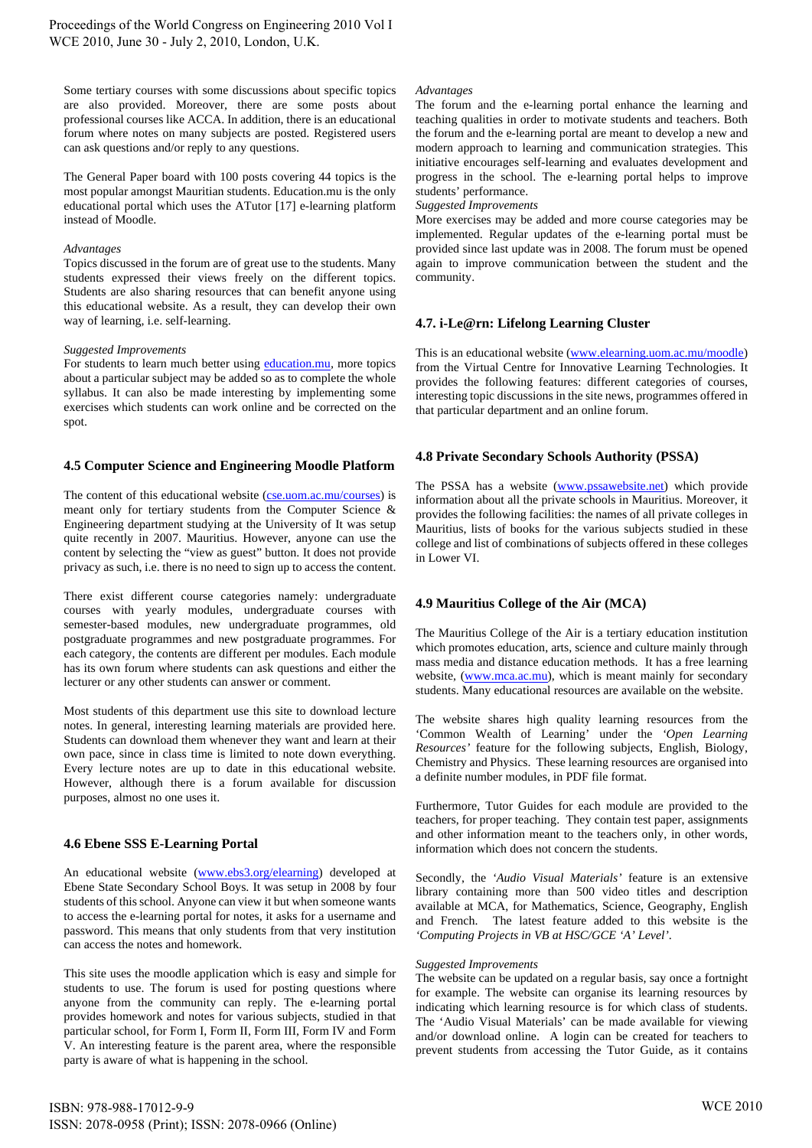Some tertiary courses with some discussions about specific topics are also provided. Moreover, there are some posts about professional courses like ACCA. In addition, there is an educational forum where notes on many subjects are posted. Registered users can ask questions and/or reply to any questions.

The General Paper board with 100 posts covering 44 topics is the most popular amongst Mauritian students. Education.mu is the only educational portal which uses the ATutor [17] e-learning platform instead of Moodle.

#### *Advantages*

Topics discussed in the forum are of great use to the students. Many students expressed their views freely on the different topics. Students are also sharing resources that can benefit anyone using this educational website. As a result, they can develop their own way of learning, i.e. self-learning.

#### *Suggested Improvements*

For students to learn much better using education.mu*,* more topics about a particular subject may be added so as to complete the whole syllabus. It can also be made interesting by implementing some exercises which students can work online and be corrected on the spot.

## **4.5 Computer Science and Engineering Moodle Platform**

The content of this educational website (cse.uom.ac.mu/courses) is meant only for tertiary students from the Computer Science & Engineering department studying at the University of It was setup quite recently in 2007. Mauritius. However, anyone can use the content by selecting the "view as guest" button. It does not provide privacy as such, i.e. there is no need to sign up to access the content.

There exist different course categories namely: undergraduate courses with yearly modules, undergraduate courses with semester-based modules, new undergraduate programmes, old postgraduate programmes and new postgraduate programmes. For each category, the contents are different per modules. Each module has its own forum where students can ask questions and either the lecturer or any other students can answer or comment.

Most students of this department use this site to download lecture notes. In general, interesting learning materials are provided here. Students can download them whenever they want and learn at their own pace, since in class time is limited to note down everything. Every lecture notes are up to date in this educational website. However, although there is a forum available for discussion purposes, almost no one uses it.

# **4.6 Ebene SSS E-Learning Portal**

An educational website (www.ebs3.org/elearning) developed at Ebene State Secondary School Boys. It was setup in 2008 by four students of this school. Anyone can view it but when someone wants to access the e-learning portal for notes, it asks for a username and password. This means that only students from that very institution can access the notes and homework.

This site uses the moodle application which is easy and simple for students to use. The forum is used for posting questions where anyone from the community can reply. The e-learning portal provides homework and notes for various subjects, studied in that particular school, for Form I, Form II, Form III, Form IV and Form V. An interesting feature is the parent area, where the responsible party is aware of what is happening in the school.

#### *Advantages*

The forum and the e-learning portal enhance the learning and teaching qualities in order to motivate students and teachers. Both the forum and the e-learning portal are meant to develop a new and modern approach to learning and communication strategies. This initiative encourages self-learning and evaluates development and progress in the school. The e-learning portal helps to improve students' performance.

#### *Suggested Improvements*

More exercises may be added and more course categories may be implemented. Regular updates of the e-learning portal must be provided since last update was in 2008. The forum must be opened again to improve communication between the student and the community.

# **4.7. i-Le@rn: Lifelong Learning Cluster**

This is an educational website (www.elearning.uom.ac.mu/moodle) from the Virtual Centre for Innovative Learning Technologies. It provides the following features: different categories of courses, interesting topic discussions in the site news, programmes offered in that particular department and an online forum.

## **4.8 Private Secondary Schools Authority (PSSA)**

The PSSA has a website (www.pssawebsite.net) which provide information about all the private schools in Mauritius. Moreover, it provides the following facilities: the names of all private colleges in Mauritius, lists of books for the various subjects studied in these college and list of combinations of subjects offered in these colleges in Lower VI.

# **4.9 Mauritius College of the Air (MCA)**

The Mauritius College of the Air is a tertiary education institution which promotes education, arts, science and culture mainly through mass media and distance education methods. It has a free learning website, (www.mca.ac.mu), which is meant mainly for secondary students. Many educational resources are available on the website.

The website shares high quality learning resources from the 'Common Wealth of Learning' under the *'Open Learning Resources'* feature for the following subjects, English, Biology, Chemistry and Physics. These learning resources are organised into a definite number modules, in PDF file format.

Furthermore, Tutor Guides for each module are provided to the teachers, for proper teaching. They contain test paper, assignments and other information meant to the teachers only, in other words, information which does not concern the students.

Secondly, the *'Audio Visual Materials'* feature is an extensive library containing more than 500 video titles and description available at MCA, for Mathematics, Science, Geography, English and French. The latest feature added to this website is the *'Computing Projects in VB at HSC/GCE 'A' Level'*.

#### *Suggested Improvements*

The website can be updated on a regular basis, say once a fortnight for example. The website can organise its learning resources by indicating which learning resource is for which class of students. The 'Audio Visual Materials' can be made available for viewing and/or download online. A login can be created for teachers to prevent students from accessing the Tutor Guide, as it contains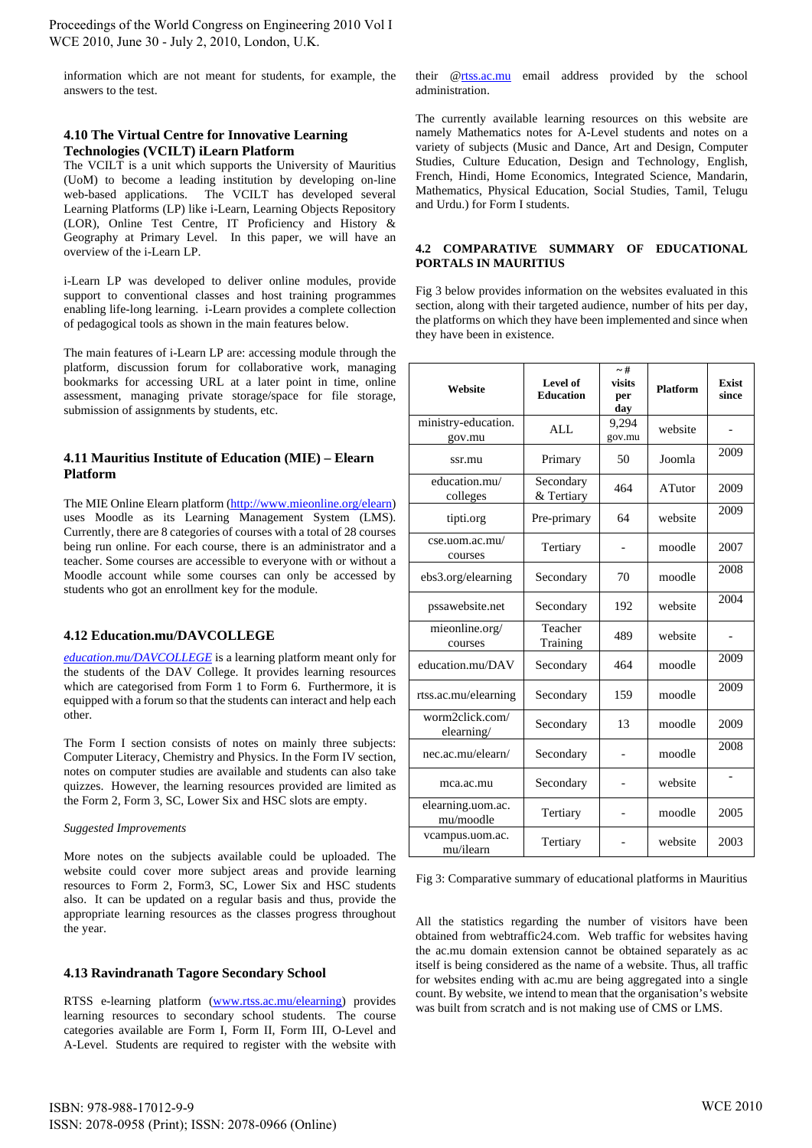Proceedings of the World Congress on Engineering 2010 Vol I WCE 2010, June 30 - July 2, 2010, London, U.K.

information which are not meant for students, for example, the answers to the test.

# **4.10 The Virtual Centre for Innovative Learning Technologies (VCILT) iLearn Platform**

The VCILT is a unit which supports the University of Mauritius (UoM) to become a leading institution by developing on-line web-based applications. The VCILT has developed several Learning Platforms (LP) like i-Learn, Learning Objects Repository (LOR), Online Test Centre, IT Proficiency and History & Geography at Primary Level. In this paper, we will have an overview of the i-Learn LP.

i-Learn LP was developed to deliver online modules, provide support to conventional classes and host training programmes enabling life-long learning. i-Learn provides a complete collection of pedagogical tools as shown in the main features below.

The main features of i-Learn LP are: accessing module through the platform, discussion forum for collaborative work, managing bookmarks for accessing URL at a later point in time, online assessment, managing private storage/space for file storage, submission of assignments by students, etc.

# **4.11 Mauritius Institute of Education (MIE) – Elearn Platform**

The MIE Online Elearn platform (http://www.mieonline.org/elearn) uses Moodle as its Learning Management System (LMS). Currently, there are 8 categories of courses with a total of 28 courses being run online. For each course, there is an administrator and a teacher. Some courses are accessible to everyone with or without a Moodle account while some courses can only be accessed by students who got an enrollment key for the module.

## **4.12 Education.mu/DAVCOLLEGE**

*education.mu/DAVCOLLEGE* is a learning platform meant only for the students of the DAV College. It provides learning resources which are categorised from Form 1 to Form 6. Furthermore, it is equipped with a forum so that the students can interact and help each other.

The Form I section consists of notes on mainly three subjects: Computer Literacy, Chemistry and Physics. In the Form IV section, notes on computer studies are available and students can also take quizzes. However, the learning resources provided are limited as the Form 2, Form 3, SC, Lower Six and HSC slots are empty.

## *Suggested Improvements*

More notes on the subjects available could be uploaded. The website could cover more subject areas and provide learning resources to Form 2, Form3, SC, Lower Six and HSC students also. It can be updated on a regular basis and thus, provide the appropriate learning resources as the classes progress throughout the year.

## **4.13 Ravindranath Tagore Secondary School**

RTSS e-learning platform (www.rtss.ac.mu/elearning) provides learning resources to secondary school students. The course categories available are Form I, Form II, Form III, O-Level and A-Level. Students are required to register with the website with their @rtss.ac.mu email address provided by the school administration.

The currently available learning resources on this website are namely Mathematics notes for A-Level students and notes on a variety of subjects (Music and Dance, Art and Design, Computer Studies, Culture Education, Design and Technology, English, French, Hindi, Home Economics, Integrated Science, Mandarin, Mathematics, Physical Education, Social Studies, Tamil, Telugu and Urdu.) for Form I students.

## **4.2 COMPARATIVE SUMMARY OF EDUCATIONAL PORTALS IN MAURITIUS**

Fig 3 below provides information on the websites evaluated in this section, along with their targeted audience, number of hits per day, the platforms on which they have been implemented and since when they have been in existence.

| Website                        | Level of<br><b>Education</b> | $-#$<br>visits<br>per<br>day | <b>Platform</b> | <b>Exist</b><br>since    |
|--------------------------------|------------------------------|------------------------------|-----------------|--------------------------|
| ministry-education.<br>gov.mu  | AI.                          | 9,294<br>gov.mu              | website         | $\overline{\phantom{0}}$ |
| ssr.mu                         | Primary                      | 50                           | Joomla          | 2009                     |
| education.mu/<br>colleges      | Secondary<br>& Tertiary      | 464                          | ATutor          | 2009                     |
| tipti.org                      | Pre-primary                  | 64                           | website         | 2009                     |
| cse.uom.ac.mu/<br>courses      | Tertiary                     |                              | moodle          | 2007                     |
| ebs3.org/elearning             | Secondary                    | 70                           | moodle          | 2008                     |
| pssawebsite.net                | Secondary                    | 192                          | website         | 2004                     |
| mieonline.org/<br>courses      | Teacher<br>Training          | 489                          | website         |                          |
| education.mu/DAV               | Secondary                    | 464                          | moodle          | 2009                     |
| rtss.ac.mu/elearning           | Secondary                    | 159                          | moodle          | 2009                     |
| worm2click.com/<br>elearning/  | Secondary                    | 13                           | moodle          | 2009                     |
| nec.ac.mu/elearn/              | Secondary                    |                              | moodle          | 2008                     |
| mca.ac.mu                      | Secondary                    |                              | website         |                          |
| elearning.uom.ac.<br>mu/moodle | Tertiary                     |                              | moodle          | 2005                     |
| vcampus.uom.ac.<br>mu/ilearn   | Tertiary                     |                              | website         | 2003                     |

Fig 3: Comparative summary of educational platforms in Mauritius

All the statistics regarding the number of visitors have been obtained from webtraffic24.com. Web traffic for websites having the ac.mu domain extension cannot be obtained separately as ac itself is being considered as the name of a website. Thus, all traffic for websites ending with ac.mu are being aggregated into a single count. By website, we intend to mean that the organisation's website was built from scratch and is not making use of CMS or LMS.